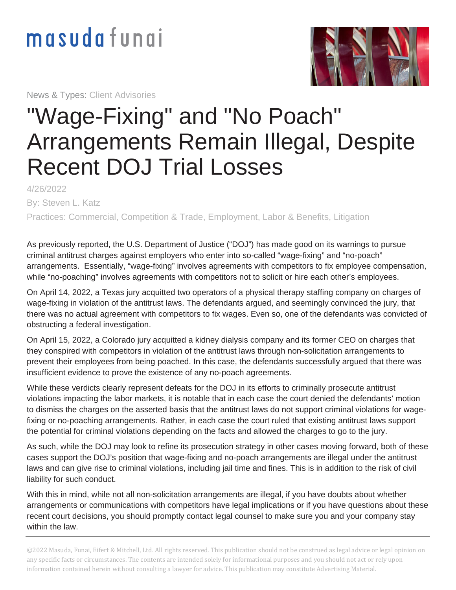## masudafungi

News & Types: Client Advisories



## "Wage-Fixing" and "No Poach" Arrangements Remain Illegal, Despite Recent DOJ Trial Losses

4/26/2022 By: Steven L. Katz

Practices: Commercial, Competition & Trade, Employment, Labor & Benefits, Litigation

As previously reported, the U.S. Department of Justice ("DOJ") has made good on its warnings to pursue criminal antitrust charges against employers who enter into so-called "wage-fixing" and "no-poach" arrangements. Essentially, "wage-fixing" involves agreements with competitors to fix employee compensation, while "no-poaching" involves agreements with competitors not to solicit or hire each other's employees.

On April 14, 2022, a Texas jury acquitted two operators of a physical therapy staffing company on charges of wage-fixing in violation of the antitrust laws. The defendants argued, and seemingly convinced the jury, that there was no actual agreement with competitors to fix wages. Even so, one of the defendants was convicted of obstructing a federal investigation.

On April 15, 2022, a Colorado jury acquitted a kidney dialysis company and its former CEO on charges that they conspired with competitors in violation of the antitrust laws through non-solicitation arrangements to prevent their employees from being poached. In this case, the defendants successfully argued that there was insufficient evidence to prove the existence of any no-poach agreements.

While these verdicts clearly represent defeats for the DOJ in its efforts to criminally prosecute antitrust violations impacting the labor markets, it is notable that in each case the court denied the defendants' motion to dismiss the charges on the asserted basis that the antitrust laws do not support criminal violations for wagefixing or no-poaching arrangements. Rather, in each case the court ruled that existing antitrust laws support the potential for criminal violations depending on the facts and allowed the charges to go to the jury.

As such, while the DOJ may look to refine its prosecution strategy in other cases moving forward, both of these cases support the DOJ's position that wage-fixing and no-poach arrangements are illegal under the antitrust laws and can give rise to criminal violations, including jail time and fines. This is in addition to the risk of civil liability for such conduct.

With this in mind, while not all non-solicitation arrangements are illegal, if you have doubts about whether arrangements or communications with competitors have legal implications or if you have questions about these recent court decisions, you should promptly contact legal counsel to make sure you and your company stay within the law.

©2022 Masuda, Funai, Eifert & Mitchell, Ltd. All rights reserved. This publication should not be construed as legal advice or legal opinion on any specific facts or circumstances. The contents are intended solely for informational purposes and you should not act or rely upon information contained herein without consulting a lawyer for advice. This publication may constitute Advertising Material.